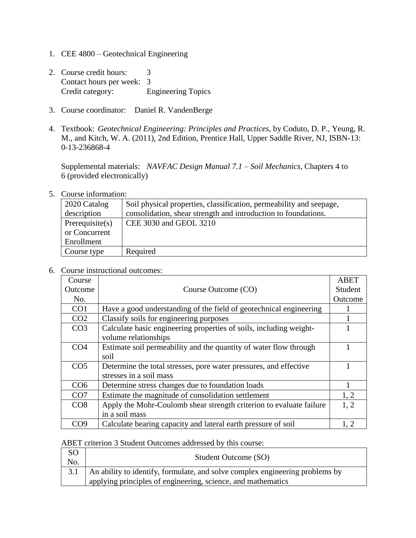- 1. CEE 4800 Geotechnical Engineering
- 2. Course credit hours: 3 Contact hours per week: 3 Credit category: Engineering Topics
- 3. Course coordinator: Daniel R. VandenBerge
- 4. Textbook: *Geotechnical Engineering: Principles and Practices*, by Coduto, D. P., Yeung, R. M., and Kitch, W. A. (2011), 2nd Edition, Prentice Hall, Upper Saddle River, NJ, ISBN-13: 0-13-236868-4

Supplemental materials: *NAVFAC Design Manual 7.1 – Soil Mechanics*, Chapters 4 to 6 (provided electronically)

5. Course information:

| 2020 Catalog    | Soil physical properties, classification, permeability and seepage, |
|-----------------|---------------------------------------------------------------------|
| description     | consolidation, shear strength and introduction to foundations.      |
| Prerequisite(s) | CEE 3030 and GEOL 3210                                              |
| or Concurrent   |                                                                     |
| Enrollment      |                                                                     |
| Course type     | Required                                                            |

6. Course instructional outcomes:

| Course          |                                                                     | <b>ABET</b> |
|-----------------|---------------------------------------------------------------------|-------------|
| Outcome         | Course Outcome (CO)                                                 | Student     |
| No.             |                                                                     | Outcome     |
| CO <sub>1</sub> | Have a good understanding of the field of geotechnical engineering  |             |
| CO <sub>2</sub> | Classify soils for engineering purposes                             |             |
| CO <sub>3</sub> | Calculate basic engineering properties of soils, including weight-  |             |
|                 | volume relationships                                                |             |
| CO <sub>4</sub> | Estimate soil permeability and the quantity of water flow through   |             |
|                 | soil                                                                |             |
| CO <sub>5</sub> | Determine the total stresses, pore water pressures, and effective   |             |
|                 | stresses in a soil mass                                             |             |
| CO <sub>6</sub> | Determine stress changes due to foundation loads                    |             |
| CO7             | Estimate the magnitude of consolidation settlement                  | 1, 2        |
| CO8             | Apply the Mohr-Coulomb shear strength criterion to evaluate failure | 1, 2        |
|                 | in a soil mass                                                      |             |
| CO9             | Calculate bearing capacity and lateral earth pressure of soil       | 1, 2        |

## ABET criterion 3 Student Outcomes addressed by this course:

| <sub>SO</sub><br>No. | Student Outcome (SO)                                                                                                                             |
|----------------------|--------------------------------------------------------------------------------------------------------------------------------------------------|
|                      | 3.1 An ability to identify, formulate, and solve complex engineering problems by<br>applying principles of engineering, science, and mathematics |